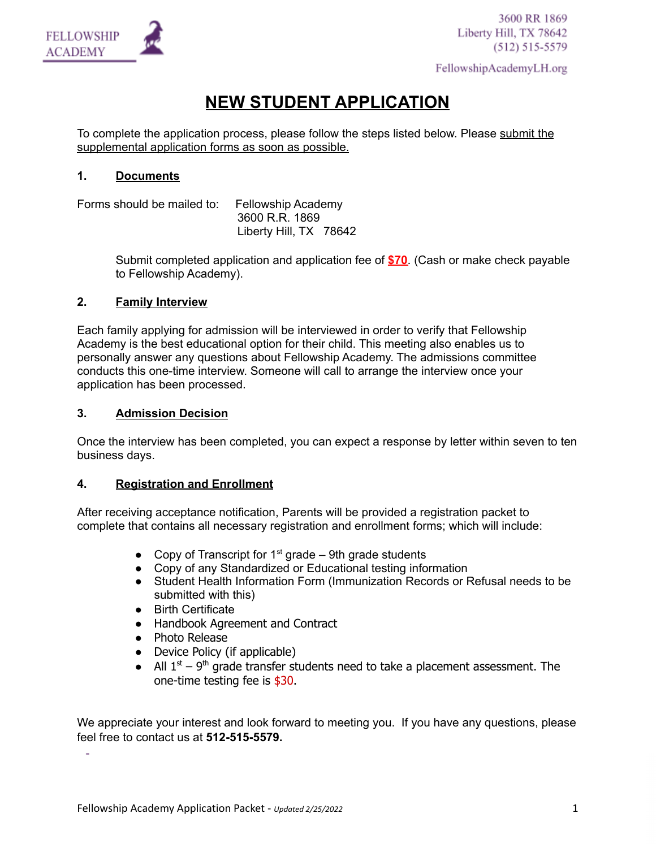

FellowshipAcademyLH.org

# **NEW STUDENT APPLICATION**

To complete the application process, please follow the steps listed below. Please submit the supplemental application forms as soon as possible.

# **1. Documents**

Forms should be mailed to: Fellowship Academy 3600 R.R. 1869 Liberty Hill, TX 78642

> Submit completed application and application fee of **\$70**. (Cash or make check payable to Fellowship Academy).

# **2. Family Interview**

Each family applying for admission will be interviewed in order to verify that Fellowship Academy is the best educational option for their child. This meeting also enables us to personally answer any questions about Fellowship Academy. The admissions committee conducts this one-time interview. Someone will call to arrange the interview once your application has been processed.

# **3. Admission Decision**

Once the interview has been completed, you can expect a response by letter within seven to ten business days.

## **4. Registration and Enrollment**

After receiving acceptance notification, Parents will be provided a registration packet to complete that contains all necessary registration and enrollment forms; which will include:

- Copy of Transcript for  $1<sup>st</sup>$  grade 9th grade students
- Copy of any Standardized or Educational testing information
- Student Health Information Form (Immunization Records or Refusal needs to be submitted with this)
- Birth Certificate
- Handbook Agreement and Contract
- Photo Release
- Device Policy (if applicable)
- All  $1<sup>st</sup> 9<sup>th</sup>$  grade transfer students need to take a placement assessment. The one-time testing fee is \$30.

We appreciate your interest and look forward to meeting you. If you have any questions, please feel free to contact us at **512-515-5579.**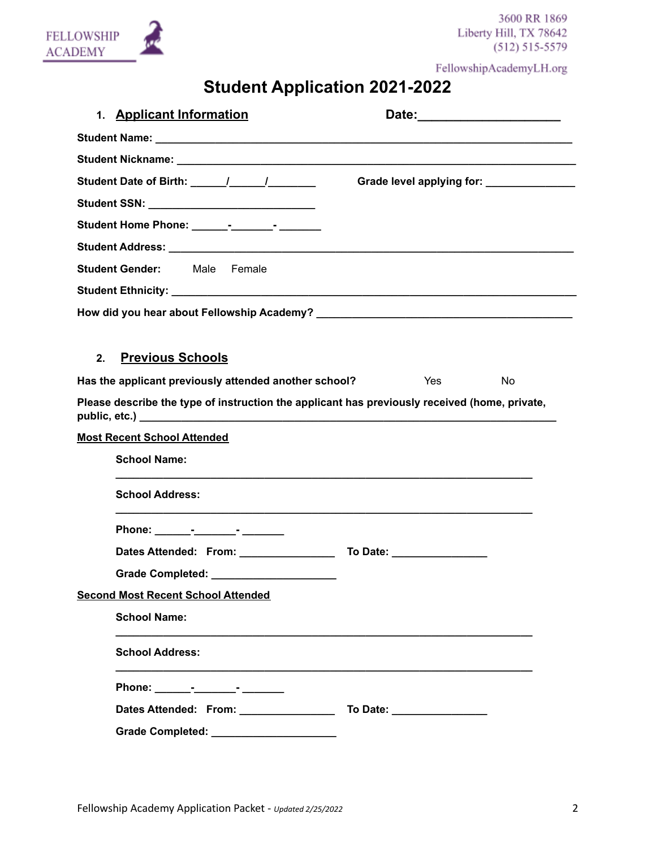

FellowshipAcademyLH.org

# **Student Application 2021-2022**

| 1. Applicant Information                                                                      | Date: __________________________          |
|-----------------------------------------------------------------------------------------------|-------------------------------------------|
|                                                                                               |                                           |
|                                                                                               |                                           |
| Student Date of Birth: 1 1                                                                    | Grade level applying for: _______________ |
| Student SSN: ________________________________                                                 |                                           |
| Student Home Phone: _______-_________-______-                                                 |                                           |
|                                                                                               |                                           |
| <b>Student Gender:</b> Male Female                                                            |                                           |
|                                                                                               |                                           |
|                                                                                               |                                           |
|                                                                                               |                                           |
| <b>Previous Schools</b><br>2.                                                                 |                                           |
| Has the applicant previously attended another school?                                         | Yes<br>No                                 |
| Please describe the type of instruction the applicant has previously received (home, private, |                                           |
| <b>Most Recent School Attended</b>                                                            |                                           |
| <b>School Name:</b>                                                                           |                                           |
| <b>School Address:</b>                                                                        |                                           |
|                                                                                               |                                           |
|                                                                                               |                                           |
| Grade Completed: ______________________                                                       |                                           |
| <b>Second Most Recent School Attended</b>                                                     |                                           |
| <b>School Name:</b>                                                                           |                                           |
| <b>School Address:</b>                                                                        |                                           |
|                                                                                               |                                           |
| Dates Attended: From: ________________                                                        | To Date: ___________________              |
| Grade Completed: ______________________                                                       |                                           |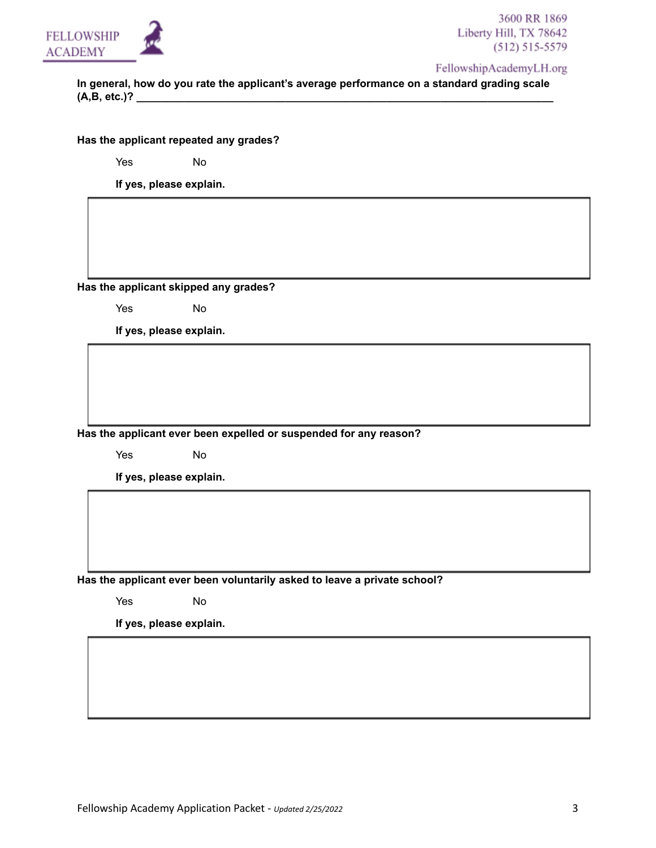

FellowshipAcademyLH.org

**In general, how do you rate the applicant's average performance on a standard grading scale (A,B, etc.)? \_\_\_\_\_\_\_\_\_\_\_\_\_\_\_\_\_\_\_\_\_\_\_\_\_\_\_\_\_\_\_\_\_\_\_\_\_\_\_\_\_\_\_\_\_\_\_\_\_\_\_\_\_\_\_\_\_\_\_\_\_\_\_\_\_\_\_\_\_\_**

**Has the applicant repeated any grades?**

Yes No

**If yes, please explain.**

**Has the applicant skipped any grades?**

Yes No

**If yes, please explain.**

**Has the applicant ever been expelled or suspended for any reason?**

Yes No

**If yes, please explain.**

**Has the applicant ever been voluntarily asked to leave a private school?**

Yes No

**If yes, please explain.**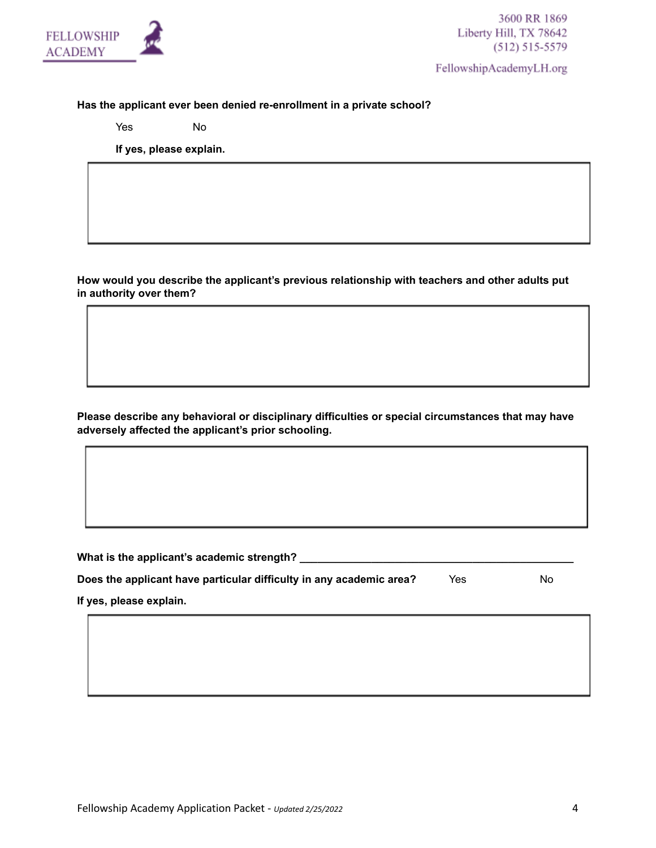

FellowshipAcademyLH.org

## **Has the applicant ever been denied re-enrollment in a private school?**

Yes No

**If yes, please explain.**

**How would you describe the applicant's previous relationship with teachers and other adults put in authority over them?**

**Please describe any behavioral or disciplinary difficulties or special circumstances that may have adversely affected the applicant's prior schooling.**

**What is the applicant's academic strength? \_\_\_\_\_\_\_\_\_\_\_\_\_\_\_\_\_\_\_\_\_\_\_\_\_\_\_\_\_\_\_\_\_\_\_\_\_\_\_\_\_\_\_\_\_\_**

| Does the applicant have particular difficulty in any academic area? | Yes | No |
|---------------------------------------------------------------------|-----|----|
|                                                                     |     |    |

**If yes, please explain.**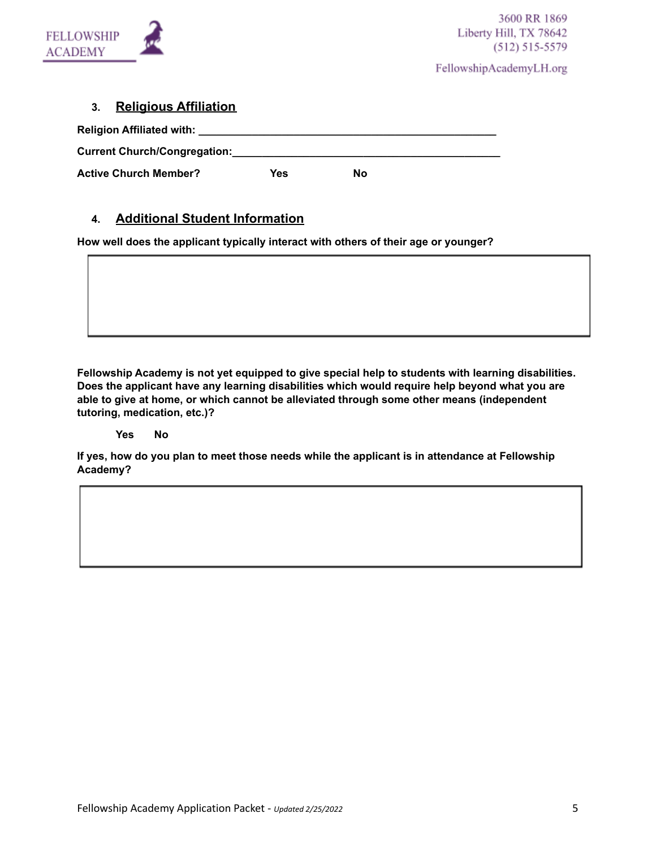

FellowshipAcademyLH.org

# **3. Religious Affiliation**

| Religion Affiliated with: Neligion Affiliated with: |     |    |
|-----------------------------------------------------|-----|----|
| <b>Current Church/Congregation:</b>                 |     |    |
| <b>Active Church Member?</b>                        | Yes | Nο |

# **4. Additional Student Information**

**How well does the applicant typically interact with others of their age or younger?**

**Fellowship Academy is not yet equipped to give special help to students with learning disabilities. Does the applicant have any learning disabilities which would require help beyond what you are able to give at home, or which cannot be alleviated through some other means (independent tutoring, medication, etc.)?**

#### **Yes No**

**If yes, how do you plan to meet those needs while the applicant is in attendance at Fellowship Academy?**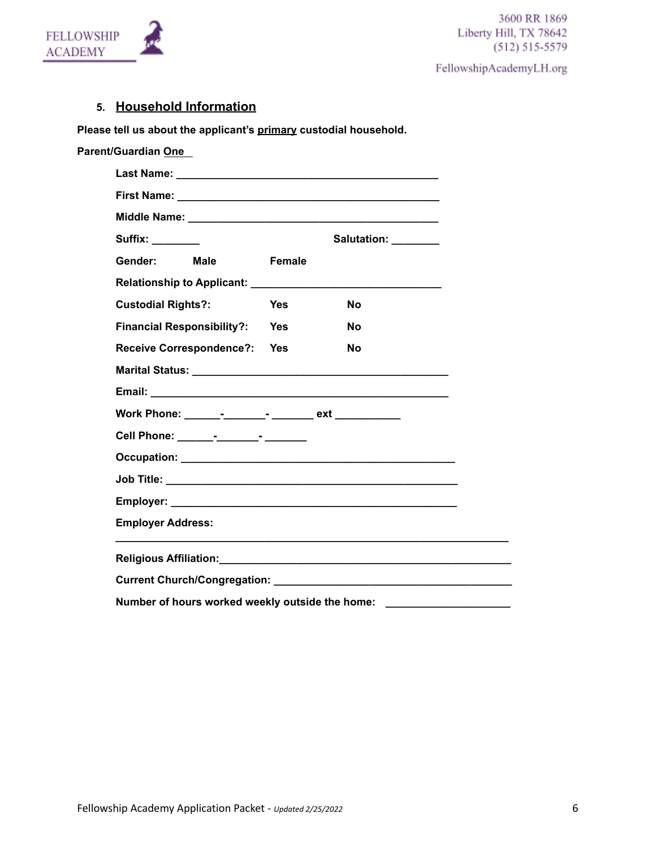

FellowshipAcademyLH.org

# **5. Household Information**

**Please tell us about the applicant's primary custodial household.**

**Parent/Guardian One**

| Suffix: ________                                                                                                                                                                                                               |               | Salutation: ________ |  |
|--------------------------------------------------------------------------------------------------------------------------------------------------------------------------------------------------------------------------------|---------------|----------------------|--|
| Gender: <b>Compart</b><br>Male                                                                                                                                                                                                 | <b>Female</b> |                      |  |
|                                                                                                                                                                                                                                |               |                      |  |
| <b>Custodial Rights?:</b>                                                                                                                                                                                                      | <b>Yes</b>    | No                   |  |
| <b>Financial Responsibility?: Yes</b>                                                                                                                                                                                          |               | No                   |  |
| Receive Correspondence?: Yes                                                                                                                                                                                                   |               | No                   |  |
|                                                                                                                                                                                                                                |               |                      |  |
|                                                                                                                                                                                                                                |               |                      |  |
|                                                                                                                                                                                                                                |               |                      |  |
| Cell Phone: ______-_-_______-______-                                                                                                                                                                                           |               |                      |  |
|                                                                                                                                                                                                                                |               |                      |  |
|                                                                                                                                                                                                                                |               |                      |  |
|                                                                                                                                                                                                                                |               |                      |  |
| <b>Employer Address:</b>                                                                                                                                                                                                       |               |                      |  |
|                                                                                                                                                                                                                                |               |                      |  |
|                                                                                                                                                                                                                                |               |                      |  |
| Current Church/Congregation: Later and Current Church and Current Church and Current Church and Current Current Current and Current Current Current Current Current Current Current Current Current Current Current Current Cu |               |                      |  |
| Number of hours worked weekly outside the home:                                                                                                                                                                                |               |                      |  |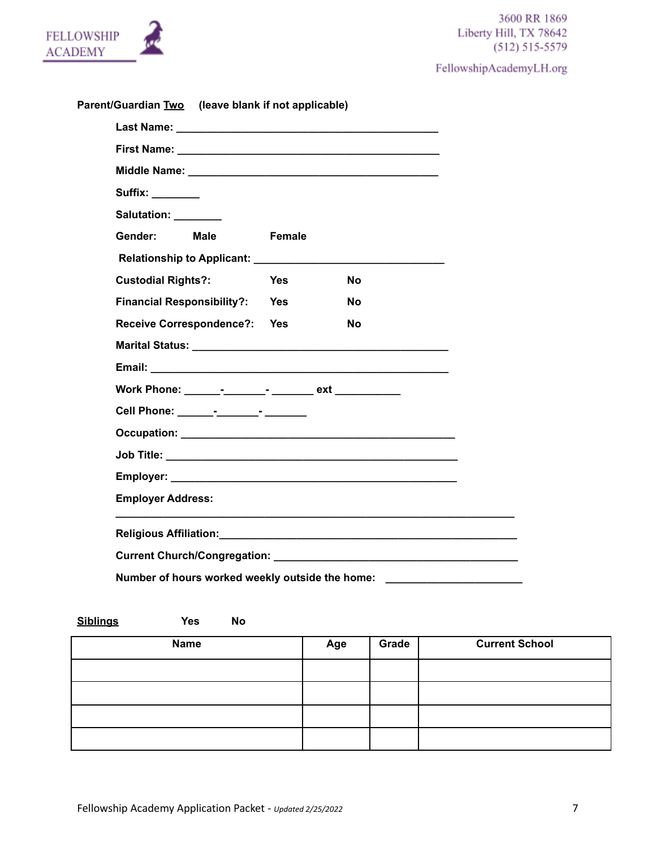FellowshipAcademyLH.org

| <b>FELLOWSHIP</b><br><b>ACADEMY</b> |  |
|-------------------------------------|--|
|                                     |  |

| Parent/Guardian Two (leave blank if not applicable)                                                                                                                                                                            |            |           |  |
|--------------------------------------------------------------------------------------------------------------------------------------------------------------------------------------------------------------------------------|------------|-----------|--|
|                                                                                                                                                                                                                                |            |           |  |
|                                                                                                                                                                                                                                |            |           |  |
|                                                                                                                                                                                                                                |            |           |  |
| Suffix: ________                                                                                                                                                                                                               |            |           |  |
| Salutation: ________                                                                                                                                                                                                           |            |           |  |
| Gender:<br><b>Male</b>                                                                                                                                                                                                         | Female     |           |  |
| Relationship to Applicant: Network and the set of the set of the set of the set of the set of the set of the set of the set of the set of the set of the set of the set of the set of the set of the set of the set of the set |            |           |  |
| <b>Custodial Rights?:</b>                                                                                                                                                                                                      | <b>Yes</b> | <b>No</b> |  |
| <b>Financial Responsibility?: Yes</b>                                                                                                                                                                                          |            | <b>No</b> |  |
| Receive Correspondence?: Yes                                                                                                                                                                                                   |            | No.       |  |
|                                                                                                                                                                                                                                |            |           |  |
|                                                                                                                                                                                                                                |            |           |  |
|                                                                                                                                                                                                                                |            |           |  |
|                                                                                                                                                                                                                                |            |           |  |
|                                                                                                                                                                                                                                |            |           |  |
|                                                                                                                                                                                                                                |            |           |  |
|                                                                                                                                                                                                                                |            |           |  |
| <b>Employer Address:</b>                                                                                                                                                                                                       |            |           |  |
|                                                                                                                                                                                                                                |            |           |  |
|                                                                                                                                                                                                                                |            |           |  |
| Number of hours worked weekly outside the home:                                                                                                                                                                                |            |           |  |

| <b>Siblings</b><br><b>Yes</b><br>No |     |       |                       |
|-------------------------------------|-----|-------|-----------------------|
| <b>Name</b>                         | Age | Grade | <b>Current School</b> |
|                                     |     |       |                       |
|                                     |     |       |                       |
|                                     |     |       |                       |
|                                     |     |       |                       |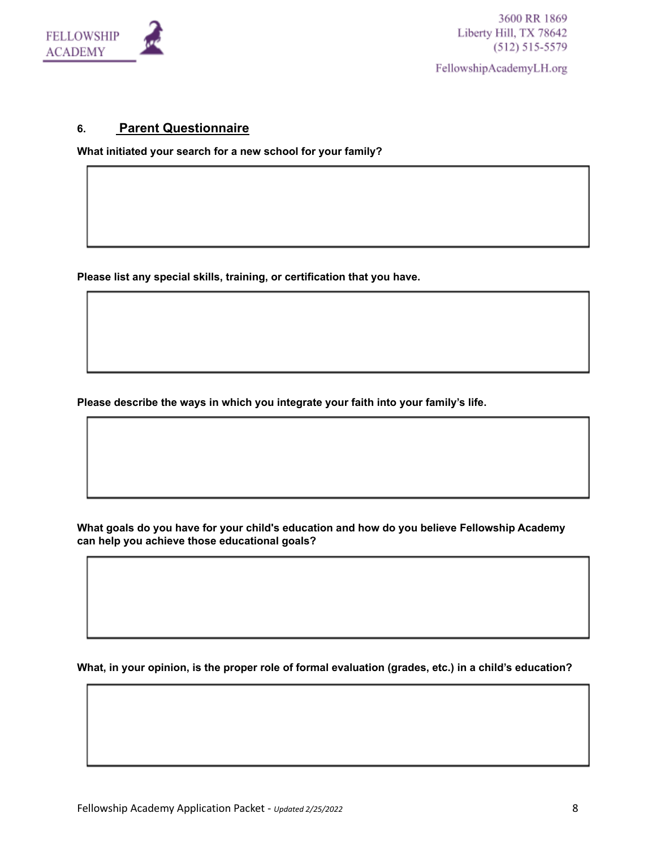

FellowshipAcademyLH.org

# **6. Parent Questionnaire**

**What initiated your search for a new school for your family?**

**Please list any special skills, training, or certification that you have.**

**Please describe the ways in which you integrate your faith into your family's life.**

**What goals do you have for your child's education and how do you believe Fellowship Academy can help you achieve those educational goals?**

**What, in your opinion, is the proper role of formal evaluation (grades, etc.) in a child's education?**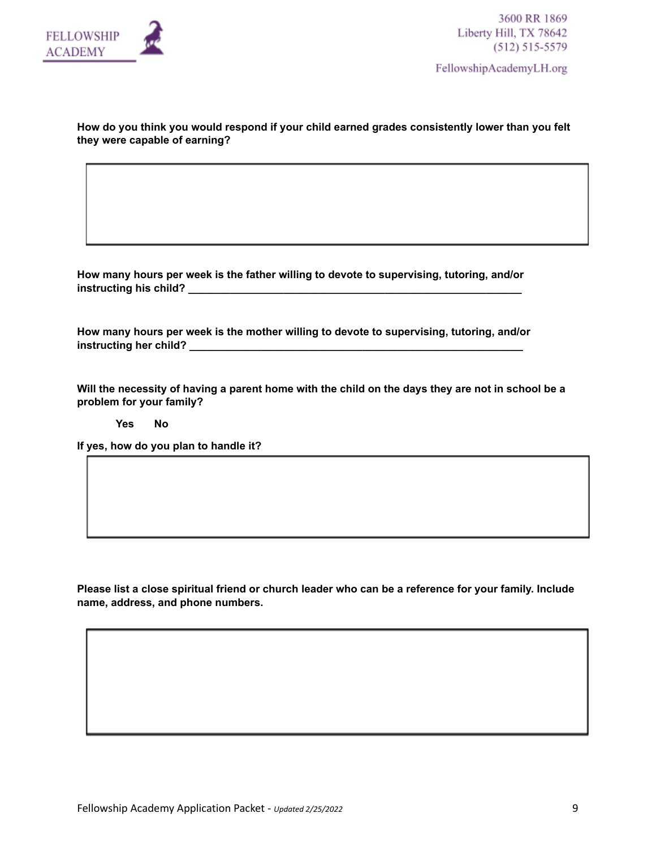

FellowshipAcademyLH.org

#### **How do you think you would respond if your child earned grades consistently lower than you felt they were capable of earning?**

**How many hours per week is the father willing to devote to supervising, tutoring, and/or instructing his child? \_\_\_\_\_\_\_\_\_\_\_\_\_\_\_\_\_\_\_\_\_\_\_\_\_\_\_\_\_\_\_\_\_\_\_\_\_\_\_\_\_\_\_\_\_\_\_\_\_\_\_\_\_\_\_\_**

**How many hours per week is the mother willing to devote to supervising, tutoring, and/or instructing her child? \_\_\_\_\_\_\_\_\_\_\_\_\_\_\_\_\_\_\_\_\_\_\_\_\_\_\_\_\_\_\_\_\_\_\_\_\_\_\_\_\_\_\_\_\_\_\_\_\_\_\_\_\_\_\_\_**

Will the necessity of having a parent home with the child on the days they are not in school be a **problem for your family?**

**Yes No**

**If yes, how do you plan to handle it?**

Please list a close spiritual friend or church leader who can be a reference for your family. Include **name, address, and phone numbers.**